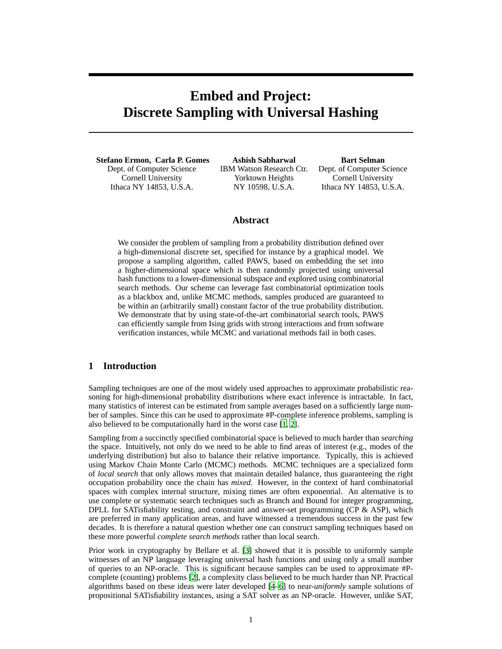# **Embed and Project: Discrete Sampling with Universal Hashing**

**Stefano Ermon, Carla P. Gomes** Dept. of Computer Science Cornell University Ithaca NY 14853, U.S.A.

**Ashish Sabharwal** IBM Watson Research Ctr. Yorktown Heights NY 10598, U.S.A.

**Bart Selman** Dept. of Computer Science Cornell University Ithaca NY 14853, U.S.A.

# **Abstract**

We consider the problem of sampling from a probability distribution defined over a high-dimensional discrete set, specified for instance by a graphical model. We propose a sampling algorithm, called PAWS, based on embedding the set into a higher-dimensional space which is then randomly projected using universal hash functions to a lower-dimensional subspace and explored using combinatorial search methods. Our scheme can leverage fast combinatorial optimization tools as a blackbox and, unlike MCMC methods, samples produced are guaranteed to be within an (arbitrarily small) constant factor of the true probability distribution. We demonstrate that by using state-of-the-art combinatorial search tools, PAWS can efficiently sample from Ising grids with strong interactions and from software verification instances, while MCMC and variational methods fail in both cases.

# **1 Introduction**

Sampling techniques are one of the most widely used approaches to approximate probabilistic reasoning for high-dimensional probability distributions where exact inference is intractable. In fact, many statistics of interest can be estimated from sample averages based on a sufficiently large number of samples. Since this can be used to approximate #P-complete inference problems, sampling is also believed to be computationally hard in the worst case [1, 2].

Sampling from a succinctly specified combinatorial space is believed to much harder than *searching* the space. Intuitively, not only do we need to be able to find areas of interest (e.g., modes of the underlying distribution) but also to balance their relative importance. Typically, this is achieved using Markov Chain Monte Carlo (MCMC) methods. MCMC techniques are a specialized form of *local search* that only allows moves that maintain detailed balance, thus guaranteeing the right occupation probability once the chain has *mixed*. However, in the context of hard combinatorial spaces with complex internal structure, mixing times are often exponential. An alternative is to use complete or systematic search techniques such as Branch and Bound for integer programming, DPLL for SATisfiability testing, and constraint and answer-set programming (CP & ASP), which are preferred in many application areas, and have witnessed a tremendous success in the past few decades. It is therefore a natural question whether one can construct sampling techniques based on these more powerful *complete search methods* rather than local search.

Prior work in cryptography by Bellare et al. [3] showed that it is possible to uniformly sample witnesses of an NP language leveraging universal hash functions and using only a small number of queries to an NP-oracle. This is significant because samples can be used to approximate #Pcomplete (counting) problems [2], a complexity class believed to be much harder than NP. Practical algorithms based on these ideas were later developed [4–6] to near-*uniformly* sample solutions of propositional SATisfiability instances, using a SAT solver as an NP-oracle. However, unlike SAT,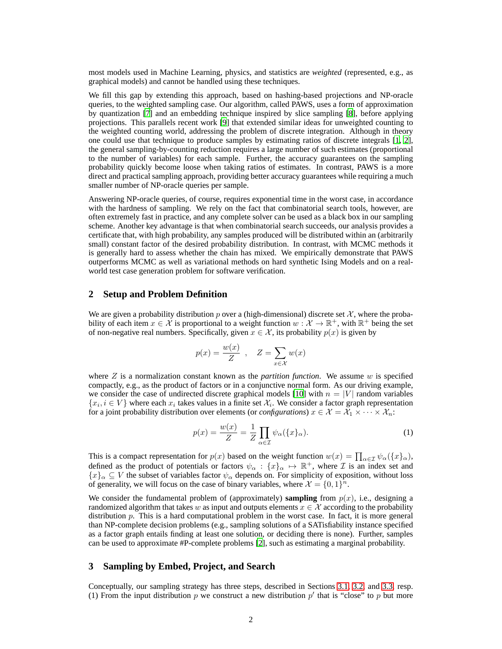most models used in Machine Learning, physics, and statistics are *weighted* (represented, e.g., as graphical models) and cannot be handled using these techniques.

We fill this gap by extending this approach, based on hashing-based projections and NP-oracle queries, to the weighted sampling case. Our algorithm, called PAWS, uses a form of approximation by quantization [7] and an embedding technique inspired by slice sampling [8], before applying projections. This parallels recent work [9] that extended similar ideas for unweighted counting to the weighted counting world, addressing the problem of discrete integration. Although in theory one could use that technique to produce samples by estimating ratios of discrete integrals [1, 2], the general sampling-by-counting reduction requires a large number of such estimates (proportional to the number of variables) for each sample. Further, the accuracy guarantees on the sampling probability quickly become loose when taking ratios of estimates. In contrast, PAWS is a more direct and practical sampling approach, providing better accuracy guarantees while requiring a much smaller number of NP-oracle queries per sample.

Answering NP-oracle queries, of course, requires exponential time in the worst case, in accordance with the hardness of sampling. We rely on the fact that combinatorial search tools, however, are often extremely fast in practice, and any complete solver can be used as a black box in our sampling scheme. Another key advantage is that when combinatorial search succeeds, our analysis provides a certificate that, with high probability, any samples produced will be distributed within an (arbitrarily small) constant factor of the desired probability distribution. In contrast, with MCMC methods it is generally hard to assess whether the chain has mixed. We empirically demonstrate that PAWS outperforms MCMC as well as variational methods on hard synthetic Ising Models and on a realworld test case generation problem for software verification.

## **2 Setup and Problem Definition**

We are given a probability distribution p over a (high-dimensional) discrete set  $\mathcal{X}$ , where the probability of each item  $x \in \mathcal{X}$  is proportional to a weight function  $w: \mathcal{X} \to \mathbb{R}^+$ , with  $\mathbb{R}^+$  being the set of non-negative real numbers. Specifically, given  $x \in \mathcal{X}$ , its probability  $p(x)$  is given by

$$
p(x) = \frac{w(x)}{Z}
$$
,  $Z = \sum_{x \in \mathcal{X}} w(x)$ 

where  $Z$  is a normalization constant known as the *partition function*. We assume  $w$  is specified compactly, e.g., as the product of factors or in a conjunctive normal form. As our driving example, we consider the case of undirected discrete graphical models [10] with  $n = |V|$  random variables  $\{x_i, i \in V\}$  where each  $x_i$  takes values in a finite set  $\mathcal{X}_i$ . We consider a factor graph representation for a joint probability distribution over elements (or *configurations*)  $x \in \mathcal{X} = \mathcal{X}_1 \times \cdots \times \mathcal{X}_n$ :

$$
p(x) = \frac{w(x)}{Z} = \frac{1}{Z} \prod_{\alpha \in \mathcal{I}} \psi_{\alpha}(\{x\}_{\alpha}).
$$
 (1)

This is a compact representation for  $p(x)$  based on the weight function  $w(x) = \prod_{\alpha \in \mathcal{I}} \psi_{\alpha}(\{x\}_{\alpha})$ , defined as the product of potentials or factors  $\psi_{\alpha} : \{x\}_{\alpha} \mapsto \mathbb{R}^+$ , where  $\mathcal I$  is an index set and  ${x}_{\alpha} \subseteq V$  the subset of variables factor  $\psi_{\alpha}$  depends on. For simplicity of exposition, without loss of generality, we will focus on the case of binary variables, where  $\mathcal{X} = \{0, 1\}^n$ .

We consider the fundamental problem of (approximately) **sampling** from  $p(x)$ , i.e., designing a randomized algorithm that takes w as input and outputs elements  $x \in \mathcal{X}$  according to the probability distribution  $p$ . This is a hard computational problem in the worst case. In fact, it is more general than NP-complete decision problems (e.g., sampling solutions of a SATisfiability instance specified as a factor graph entails finding at least one solution, or deciding there is none). Further, samples can be used to approximate #P-complete problems [2], such as estimating a marginal probability.

### **3 Sampling by Embed, Project, and Search**

Conceptually, our sampling strategy has three steps, described in Sections 3.1, 3.2, and 3.3, resp. (1) From the input distribution p we construct a new distribution  $p'$  that is "close" to p but more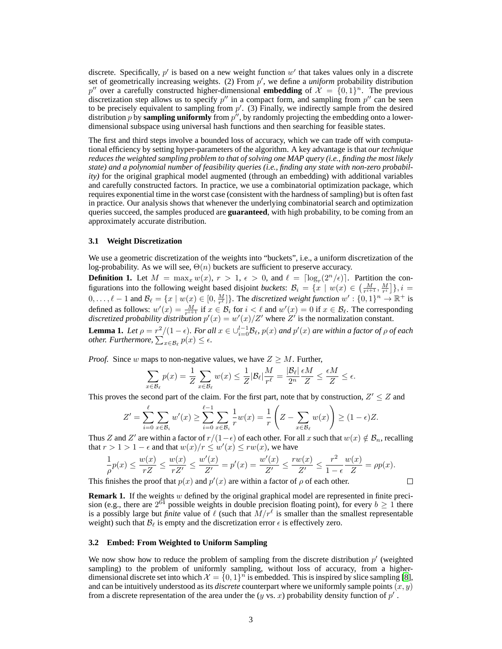discrete. Specifically,  $p'$  is based on a new weight function  $w'$  that takes values only in a discrete set of geometrically increasing weights. (2) From p', we define a *uniform* probability distribution p'' over a carefully constructed higher-dimensional **embedding** of  $\mathcal{X} = \{0, 1\}^n$ . The previous discretization step allows us to specify  $p''$  in a compact form, and sampling from  $p''$  can be seen to be precisely equivalent to sampling from  $p'$ . (3) Finally, we indirectly sample from the desired distribution  $p$  by **sampling uniformly** from  $p''$ , by randomly projecting the embedding onto a lowerdimensional subspace using universal hash functions and then searching for feasible states.

The first and third steps involve a bounded loss of accuracy, which we can trade off with computational efficiency by setting hyper-parameters of the algorithm. A key advantage is that *our technique reduces the weighted sampling problem to that of solving one MAP query (i.e., finding the most likely state) and a polynomial number of feasibility queries (i.e., finding any state with non-zero probability)* for the original graphical model augmented (through an embedding) with additional variables and carefully constructed factors. In practice, we use a combinatorial optimization package, which requires exponential time in the worst case (consistent with the hardness of sampling) but is often fast in practice. Our analysis shows that whenever the underlying combinatorial search and optimization queries succeed, the samples produced are **guaranteed**, with high probability, to be coming from an approximately accurate distribution.

#### **3.1 Weight Discretization**

We use a geometric discretization of the weights into "buckets", i.e., a uniform discretization of the log-probability. As we will see,  $\Theta(n)$  buckets are sufficient to preserve accuracy.

**Definition 1.** Let  $M = \max_x w(x)$ ,  $r > 1$ ,  $\epsilon > 0$ , and  $\ell = \lfloor \log_r(2^n/\epsilon) \rfloor$ . Partition the configurations into the following weight based disjoint *buckets*:  $B_i = \{x \mid w(x) \in \left(\frac{M}{r^{i+1}}, \frac{M}{r^i}\right]\}, i =$  $0,\ldots,\ell-1$  and  $\mathcal{B}_{\ell} = \{x \mid w(x) \in [0, \frac{M}{r^{\ell}}]\}\$ . The *discretized weight function*  $w' : \{0,1\}^n \to \mathbb{R}^+$  is defined as follows:  $w'(x) = \frac{M}{r^{i+1}}$  if  $x \in \mathcal{B}_i$  for  $i < \ell$  and  $w'(x) = 0$  if  $x \in \mathcal{B}_\ell$ . The corresponding *discretized probability distribution*  $p'(x) = w'(x)/Z'$  where  $Z'$  is the normalization constant.

**Lemma 1.** Let  $\rho = r^2/(1 - \epsilon)$ . For all  $x \in \bigcup_{i=0}^{l-1} \mathcal{B}_{\ell}$ ,  $p(x)$  and  $p'(x)$  are within a factor of  $\rho$  of each *other. Furthermore,*  $\sum_{x \in \mathcal{B}_{\ell}} p(x) \leq \epsilon$ .

*Proof.* Since w maps to non-negative values, we have  $Z \geq M$ . Further,

$$
\sum_{x \in \mathcal{B}_{\ell}} p(x) = \frac{1}{Z} \sum_{x \in \mathcal{B}_{\ell}} w(x) \le \frac{1}{Z} |\mathcal{B}_{\ell}| \frac{M}{r^{\ell}} = \frac{|\mathcal{B}_{\ell}|}{2^n} \frac{\epsilon M}{Z} \le \frac{\epsilon M}{Z} \le \epsilon.
$$

This proves the second part of the claim. For the first part, note that by construction,  $Z' \leq Z$  and

$$
Z' = \sum_{i=0}^{\ell} \sum_{x \in \mathcal{B}_i} w'(x) \ge \sum_{i=0}^{\ell-1} \sum_{x \in \mathcal{B}_i} \frac{1}{r} w(x) = \frac{1}{r} \left( Z - \sum_{x \in \mathcal{B}_\ell} w(x) \right) \ge (1 - \epsilon) Z.
$$

Thus Z and Z' are within a factor of  $r/(1-\epsilon)$  of each other. For all x such that  $w(x) \notin \mathcal{B}_n$ , recalling that  $r > 1 > 1 - \epsilon$  and that  $w(x)/r \leq w'(x) \leq rw(x)$ , we have

$$
\frac{1}{\rho}p(x) \le \frac{w(x)}{rZ} \le \frac{w(x)}{rZ'} \le \frac{w'(x)}{Z'} = p'(x) = \frac{w'(x)}{Z'} \le \frac{rw(x)}{Z'} \le \frac{r^2}{1 - \epsilon} \frac{w(x)}{Z} = \rho p(x).
$$

 $\Box$ 

This finishes the proof that  $p(x)$  and  $p'(x)$  are within a factor of  $\rho$  of each other.

**Remark 1.** If the weights w defined by the original graphical model are represented in finite precision (e.g., there are  $2^{64}$  possible weights in double precision floating point), for every  $b \ge 1$  there is a possibly large but *finite* value of  $\ell$  (such that  $\overline{M}/r^{\ell}$  is smaller than the smallest representable weight) such that  $B_{\ell}$  is empty and the discretization error  $\epsilon$  is effectively zero.

#### **3.2 Embed: From Weighted to Uniform Sampling**

We now show how to reduce the problem of sampling from the discrete distribution  $p'$  (weighted sampling) to the problem of uniformly sampling, without loss of accuracy, from a higherdimensional discrete set into which  $\mathcal{X} = \{0, 1\}^n$  is embedded. This is inspired by slice sampling [8], and can be intuitively understood as its *discrete* counterpart where we uniformly sample points  $(x, y)$ from a discrete representation of the area under the  $(y \text{ vs. } x)$  probability density function of  $p'$ .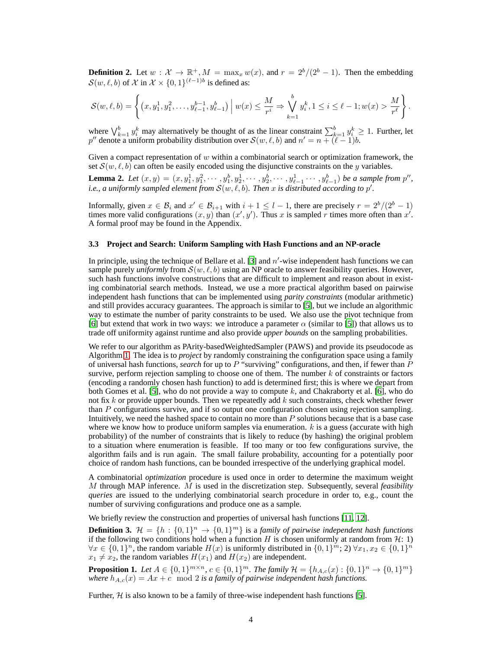**Definition 2.** Let  $w : \mathcal{X} \to \mathbb{R}^+, M = \max_x w(x)$ , and  $r = 2^b/(2^b - 1)$ . Then the embedding  $S(w, \ell, b)$  of X in  $\mathcal{X} \times \{0, 1\}^{(\ell-1)b}$  is defined as:

$$
\mathcal{S}(w,\ell,b) = \left\{ (x, y_1^1, y_1^2, \dots, y_{\ell-1}^{b-1}, y_{\ell-1}^b) \middle| w(x) \leq \frac{M}{r^i} \Rightarrow \bigvee_{k=1}^b y_i^k, 1 \leq i \leq \ell-1; w(x) > \frac{M}{r^{\ell}} \right\}.
$$

where  $\bigvee_{k=1}^{b} y_i^k$  may alternatively be thought of as the linear constraint  $\sum_{k=1}^{b} y_i^k \ge 1$ . Further, let  $p''$  denote a uniform probability distribution over  $\mathcal{S}(w, \ell, b)$  and  $n' = n + (\ell - 1)b$ .

Given a compact representation of  $w$  within a combinatorial search or optimization framework, the set  $S(w, \ell, b)$  can often be easily encoded using the disjunctive constraints on the y variables.

**Lemma 2.** Let  $(x, y) = (x, y_1^1, y_1^2, \dots, y_1^b, y_2^1, \dots, y_{2^b}, \dots, y_{\ell-1}^1 \dots, y_{\ell-1}^b)$  be a sample from  $p''$ , *i.e., a uniformly sampled element from*  $\mathcal{S}(w,\ell,b)$ *. Then x is distributed according to p'.* 

Informally, given  $x \in \mathcal{B}_i$  and  $x' \in \mathcal{B}_{i+1}$  with  $i+1 \leq l-1$ , there are precisely  $r = 2^b/(2^b-1)$ times more valid configurations  $(x, y)$  than  $(x', y')$ . Thus x is sampled r times more often than  $x'$ . A formal proof may be found in the Appendix.

#### **3.3 Project and Search: Uniform Sampling with Hash Functions and an NP-oracle**

In principle, using the technique of Bellare et al. [3] and  $n'$ -wise independent hash functions we can sample purely *uniformly* from  $S(w, \ell, b)$  using an NP oracle to answer feasibility queries. However, such hash functions involve constructions that are difficult to implement and reason about in existing combinatorial search methods. Instead, we use a more practical algorithm based on pairwise independent hash functions that can be implemented using *parity constraints* (modular arithmetic) and still provides accuracy guarantees. The approach is similar to [5], but we include an algorithmic way to estimate the number of parity constraints to be used. We also use the pivot technique from [6] but extend that work in two ways: we introduce a parameter  $\alpha$  (similar to [5]) that allows us to trade off uniformity against runtime and also provide *upper bounds* on the sampling probabilities.

We refer to our algorithm as PArity-basedWeightedSampler (PAWS) and provide its pseudocode as Algorithm 1. The idea is to *project* by randomly constraining the configuration space using a family of universal hash functions, *search* for up to P "surviving" configurations, and then, if fewer than P survive, perform rejection sampling to choose one of them. The number  $k$  of constraints or factors (encoding a randomly chosen hash function) to add is determined first; this is where we depart from both Gomes et al. [5], who do not provide a way to compute  $k$ , and Chakraborty et al. [6], who do not fix k or provide upper bounds. Then we repeatedly add  $k$  such constraints, check whether fewer than  $P$  configurations survive, and if so output one configuration chosen using rejection sampling. Intuitively, we need the hashed space to contain no more than P solutions because that is a base case where we know how to produce uniform samples via enumeration.  $k$  is a guess (accurate with high probability) of the number of constraints that is likely to reduce (by hashing) the original problem to a situation where enumeration is feasible. If too many or too few configurations survive, the algorithm fails and is run again. The small failure probability, accounting for a potentially poor choice of random hash functions, can be bounded irrespective of the underlying graphical model.

A combinatorial *optimization* procedure is used once in order to determine the maximum weight M through MAP inference. M is used in the discretization step. Subsequently, several *feasibility queries* are issued to the underlying combinatorial search procedure in order to, e.g., count the number of surviving configurations and produce one as a sample.

We briefly review the construction and properties of universal hash functions [11, 12].

**Definition 3.**  $\mathcal{H} = \{h : \{0,1\}^n \to \{0,1\}^m\}$  is a *family of pairwise independent hash functions* if the following two conditions hold when a function  $H$  is chosen uniformly at random from  $H: 1$ )  $\forall x \in \{0,1\}^n$ , the random variable  $H(x)$  is uniformly distributed in  $\{0,1\}^m$ ; 2)  $\forall x_1, x_2 \in \{0,1\}^n$  $x_1 \neq x_2$ , the random variables  $H(x_1)$  and  $H(x_2)$  are independent.

**Proposition 1.** Let  $A \in \{0,1\}^{m \times n}$ ,  $c \in \{0,1\}^m$ . The family  $\mathcal{H} = \{h_{A,c}(x): \{0,1\}^n \to \{0,1\}^m\}$ *where*  $h_{A,c}(x) = Ax + c \mod 2$  *is a family of pairwise independent hash functions.* 

Further,  $H$  is also known to be a family of three-wise independent hash functions [5].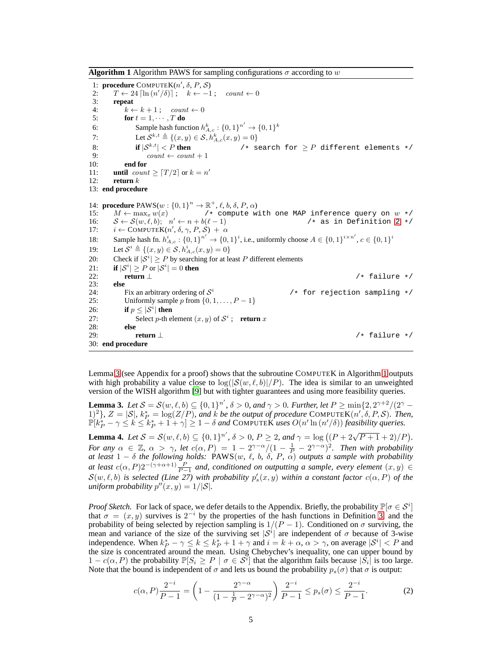**Algorithm 1** Algorithm PAWS for sampling configurations  $\sigma$  according to w

1: **procedure**  $COMPUTEK(n', \delta, P, S)$ 2:  $T \leftarrow 24 \left[ \ln \left( n'/\delta \right) \right]$ ;  $k \leftarrow -1$ ; count  $\leftarrow 0$ 3: **repeat** 4:  $k \leftarrow k + 1$ ; count  $\leftarrow 0$ 5: **for**  $t = 1, \cdots, T$  **do** 6: Sample hash function  $h_{A,c}^k : \{0,1\}^{n'} \to \{0,1\}^k$ 7: Let  $S^{k,t} \triangleq \{(x,y) \in S, h_{A,c}^k(x,y) = 0\}$ 8: **if**  $|S^{k,t}| < P$  **then** /\* search for  $\ge P$  different elements \*/<br>9:  $count \leftarrow count + 1$ 10: **end for** 11: **until**  $count \geq \lceil T/2 \rceil$  or  $k = n'$ 12: **return** k 13: **end procedure** 14: **procedure**  $\text{PAWS}(w: \{0, 1\}^n \to \mathbb{R}^+, \ell, b, \delta, P, \alpha)$ 15:  $M \leftarrow \max_x w(x)$  /\* compute with one MAP inference query on  $w * / w(x)$ 16:  $S \leftarrow S(w, \ell, b);$   $n' \leftarrow n + b(\ell - 1)$  /\* as in Definition 2 \*/ 17:  $i \leftarrow \text{COMPUTEK}(n', \delta, \gamma, P, \mathcal{S}) + \alpha$ 18: Sample hash fn.  $h_{A,c}^i: \{0,1\}^{n'} \to \{0,1\}^i$ , i.e., uniformly choose  $A \in \{0,1\}^{i \times n'}$ ,  $c \in \{0,1\}^i$ 19: Let  $S^i \triangleq \{(x, y) \in S, h_{A,c}^i(x, y) = 0\}$ 20: Check if  $|S^i| \geq P$  by searching for at least P different elements 21: **if**  $|\mathcal{S}^i| \geq P$  or  $|\mathcal{S}^i| = 0$  **then** 22: **return**⊥<br>23: **else** /\* failure \*/ 23:<br>24: Fix an arbitrary ordering of  $S^i$  $/*$  for rejection sampling  $*/$ 25: Uniformly sample p from  $\{0, 1, \ldots, P-1\}$ 26: **if**  $p \leq |\mathcal{S}^i|$  then 27: Select *p*-th element  $(x, y)$  of  $S^i$ ; **return** x 28: **else** 29: **return** ⊥ /\* failure \*/ 30: **end procedure**

Lemma 3 (see Appendix for a proof) shows that the subroutine COMPUTEK in Algorithm 1 outputs with high probability a value close to  $\log(|\mathcal{S}(w,\ell,b)|/P)$ . The idea is similar to an unweighted version of the WISH algorithm [9] but with tighter guarantees and using more feasibility queries.

**Lemma 3.** Let  $S = S(w, \ell, b) \subseteq \{0, 1\}^n$ ,  $\delta > 0$ , and  $\gamma > 0$ . Further, let  $P \ge \min\{2, 2^{\gamma+2}/(2^{\gamma} - 1)\}$ 1)<sup>2</sup>},  $Z = |\mathcal{S}|$ ,  $k_P^* = \log(Z/P)$ , and k be the output of procedure COMPUTEK $(n', \delta, P, \mathcal{S})$ . Then,  $\mathbb{P}[k_P^* - \gamma \leq k \leq k_P^* + 1 + \gamma] \geq 1 - \delta$  and COMPUTEK uses  $O(n' \ln(n'/\delta))$  *feasibility queries.* 

**Lemma 4.** Let  $S = S(w, \ell, b) \subseteq \{0, 1\}^{n'}$ ,  $\delta > 0$ ,  $P \ge 2$ , and  $\gamma = \log((P + 2\sqrt{P + 1} + 2)/P)$ . *For any*  $\alpha \in \mathbb{Z}$ ,  $\alpha > \gamma$ , let  $c(\alpha, P) = 1 - 2^{\gamma - \alpha}/(1 - \frac{1}{P_1} - 2^{\gamma - \alpha})^2$ . Then with probability *at least* 1 − δ *the following holds:* PAWS(w*,* ℓ*,* b*,* δ*,* P*,* α) *outputs a sample with probability at least*  $c(\alpha, P)2^{-(\gamma + \alpha + 1)} \frac{P}{P-1}$  and, conditioned on outputting a sample, every element  $(x, y) \in$  $\mathcal{S}(w,\ell,b)$  is selected (Line 27) with probability  $p'_s(x,y)$  within a constant factor  $c(\alpha,P)$  of the  $\text{uniform probability } p''(x, y) = 1/|\mathcal{S}|.$ 

*Proof Sketch.* For lack of space, we defer details to the Appendix. Briefly, the probability  $\mathbb{P}[\sigma \in S^i]$ that  $\sigma = (x, y)$  survives is  $2^{-i}$  by the properties of the hash functions in Definition 3, and the probability of being selected by rejection sampling is  $1/(P-1)$ . Conditioned on  $\sigma$  surviving, the mean and variance of the size of the surviving set  $|S^i|$  are independent of  $\sigma$  because of 3-wise independence. When  $k_P^* - \gamma \le k \le k_P^* + 1 + \gamma$  and  $i = k + \alpha, \alpha > \gamma$ , on average  $|S^i| < P$  and the size is concentrated around the mean. Using Chebychev's inequality, one can upper bound by  $1 - c(\alpha, P)$  the probability  $\mathbb{P}[S_i \geq P \mid \sigma \in S^i]$  that the algorithm fails because  $|S_i|$  is too large. Note that the bound is independent of  $\sigma$  and lets us bound the probability  $p_s(\sigma)$  that  $\sigma$  is output:

$$
c(\alpha, P)\frac{2^{-i}}{P-1} = \left(1 - \frac{2^{\gamma - \alpha}}{(1 - \frac{1}{P} - 2^{\gamma - \alpha})^2}\right)\frac{2^{-i}}{P-1} \le p_s(\sigma) \le \frac{2^{-i}}{P-1}.\tag{2}
$$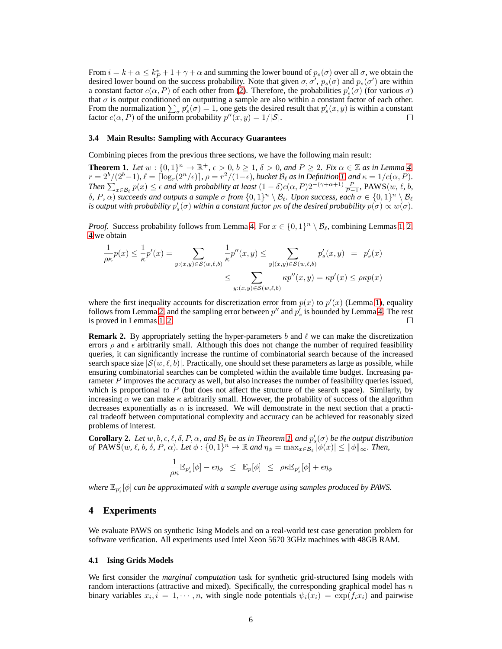From  $i = k + \alpha \leq k_P^* + 1 + \gamma + \alpha$  and summing the lower bound of  $p_s(\sigma)$  over all  $\sigma$ , we obtain the desired lower bound on the success probability. Note that given  $\sigma, \sigma', p_s(\sigma)$  and  $p_s(\sigma')$  are within a constant factor  $c(\alpha, P)$  of each other from (2). Therefore, the probabilities  $p'_s(\sigma)$  (for various  $\sigma$ ) that  $\sigma$  is output conditioned on outputting a sample are also within a constant factor of each other. From the normalization  $\sum_{\sigma} p'_s(\sigma) = 1$ , one gets the desired result that  $p'_s(x, y)$  is within a constant factor  $c(\alpha, P)$  of the uniform probability  $p''(x, y) = 1/|\mathcal{S}|$ .

#### **3.4 Main Results: Sampling with Accuracy Guarantees**

Combining pieces from the previous three sections, we have the following main result:

**Theorem 1.** Let  $w : \{0,1\}^n \to \mathbb{R}^+, \epsilon > 0, b \ge 1, \delta > 0, and P \ge 2$ . Fix  $\alpha \in \mathbb{Z}$  as in Lemma 4,  $r = 2^b/(2^b-1)$ ,  $\ell = \lceil \log_r(2^n/\epsilon) \rceil$ ,  $\rho = r^2/(1-\epsilon)$ , bucket  $\mathcal{B}_\ell$  as in Definition 1, and  $\kappa = 1/c(\alpha, P)$ . *Then*  $\sum_{x \in B_\ell} p(x) \leq \epsilon$  *and with probability at least*  $(1 - \delta)c(\alpha, P)2^{-(\gamma + \alpha + 1)}\frac{P}{P-1}$ , PAWS $(w, \ell, b, \ell)$ *δ*, *P*,  $\alpha$ ) *succeeds and outputs a sample σ from*  $\{0, 1\}$ <sup>n</sup>  $\setminus$  *B*<sub>*ε*</sub>. *Upon success, each σ* ∈  $\{0, 1\}$ <sup>n</sup>  $\setminus$  *B*<sub>*ℓ*</sub> *is output with probability*  $p'_s(\sigma)$  *within a constant factor*  $\rho \kappa$  *of the desired probability*  $p(\sigma) \propto w(\sigma)$ *.* 

*Proof.* Success probability follows from Lemma 4. For  $x \in \{0,1\}^n \setminus \mathcal{B}_{\ell}$ , combining Lemmas 1, 2, 4 we obtain

$$
\frac{1}{\rho \kappa} p(x) \le \frac{1}{\kappa} p'(x) = \sum_{y:(x,y)\in S(w,\ell,b)} \frac{1}{\kappa} p''(x,y) \le \sum_{y|(x,y)\in S(w,\ell,b)} p'_s(x,y) = p'_s(x)
$$

$$
\le \sum_{y:(x,y)\in S(w,\ell,b)} \kappa p''(x,y) = \kappa p'(x) \le \rho \kappa p(x)
$$

where the first inequality accounts for discretization error from  $p(x)$  to  $p'(x)$  (Lemma 1), equality follows from Lemma 2, and the sampling error between  $p''$  and  $p'_s$  is bounded by Lemma 4. The rest is proved in Lemmas 1, 2. П

**Remark 2.** By appropriately setting the hyper-parameters b and  $\ell$  we can make the discretization errors  $\rho$  and  $\epsilon$  arbitrarily small. Although this does not change the number of required feasibility queries, it can significantly increase the runtime of combinatorial search because of the increased search space size  $|S(w, \ell, b)|$ . Practically, one should set these parameters as large as possible, while ensuring combinatorial searches can be completed within the available time budget. Increasing parameter P improves the accuracy as well, but also increases the number of feasibility queries issued, which is proportional to  $P$  (but does not affect the structure of the search space). Similarly, by increasing  $\alpha$  we can make  $\kappa$  arbitrarily small. However, the probability of success of the algorithm decreases exponentially as  $\alpha$  is increased. We will demonstrate in the next section that a practical tradeoff between computational complexity and accuracy can be achieved for reasonably sized problems of interest.

**Corollary 2.** Let  $w, b, \epsilon, \ell, \delta, P, \alpha$ , and  $B_{\ell}$  be as in Theorem 1, and  $p'_{s}(\sigma)$  be the output distribution *of*  $\text{PAWS}(w, \ell, b, \delta, P, \alpha)$ *. Let*  $\phi : \{0, 1\}^n \to \mathbb{R}$  and  $\eta_{\phi} = \max_{x \in \mathcal{B}_{\ell}} |\phi(x)| \le ||\phi||_{\infty}$ *. Then,* 

$$
\frac{1}{\rho \kappa} \mathbb{E}_{p_s'}[\phi] - \epsilon \eta_\phi \leq \mathbb{E}_p[\phi] \leq \rho \kappa \mathbb{E}_{p_s'}[\phi] + \epsilon \eta_\phi
$$

where  $\mathbb{E}_{p'_{s}}[\phi]$  can be approximated with a sample average using samples produced by PAWS.

#### **4 Experiments**

We evaluate PAWS on synthetic Ising Models and on a real-world test case generation problem for software verification. All experiments used Intel Xeon 5670 3GHz machines with 48GB RAM.

#### **4.1 Ising Grids Models**

We first consider the *marginal computation* task for synthetic grid-structured Ising models with random interactions (attractive and mixed). Specifically, the corresponding graphical model has  $n$ binary variables  $x_i$ ,  $i = 1, \dots, n$ , with single node potentials  $\psi_i(x_i) = \exp(f_i x_i)$  and pairwise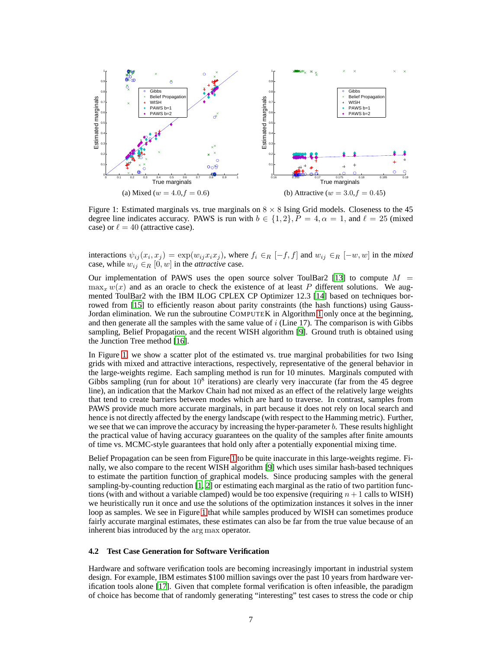

Figure 1: Estimated marginals vs. true marginals on  $8 \times 8$  Ising Grid models. Closeness to the 45 degree line indicates accuracy. PAWS is run with  $b \in \{1, 2\}$ ,  $P = 4$ ,  $\alpha = 1$ , and  $\ell = 25$  (mixed case) or  $\ell = 40$  (attractive case).

interactions  $\psi_{ij}(x_i, x_j) = \exp(w_{ij}x_i x_j)$ , where  $f_i \in_R [-f, f]$  and  $w_{ij} \in_R [-w, w]$  in the *mixed* case, while  $w_{ij} \in_R [0, w]$  in the *attractive* case.

Our implementation of PAWS uses the open source solver ToulBar2 [13] to compute  $M =$  $\max_x w(x)$  and as an oracle to check the existence of at least P different solutions. We augmented ToulBar2 with the IBM ILOG CPLEX CP Optimizer 12.3 [14] based on techniques borrowed from [15] to efficiently reason about parity constraints (the hash functions) using Gauss-Jordan elimination. We run the subroutine COMPUTEK in Algorithm 1 only once at the beginning, and then generate all the samples with the same value of  $i$  (Line 17). The comparison is with Gibbs sampling, Belief Propagation, and the recent WISH algorithm [9]. Ground truth is obtained using the Junction Tree method [16].

In Figure 1, we show a scatter plot of the estimated vs. true marginal probabilities for two Ising grids with mixed and attractive interactions, respectively, representative of the general behavior in the large-weights regime. Each sampling method is run for 10 minutes. Marginals computed with Gibbs sampling (run for about  $10^8$  iterations) are clearly very inaccurate (far from the 45 degree line), an indication that the Markov Chain had not mixed as an effect of the relatively large weights that tend to create barriers between modes which are hard to traverse. In contrast, samples from PAWS provide much more accurate marginals, in part because it does not rely on local search and hence is not directly affected by the energy landscape (with respect to the Hamming metric). Further, we see that we can improve the accuracy by increasing the hyper-parameter  $b$ . These results highlight the practical value of having accuracy guarantees on the quality of the samples after finite amounts of time vs. MCMC-style guarantees that hold only after a potentially exponential mixing time.

Belief Propagation can be seen from Figure 1 to be quite inaccurate in this large-weights regime. Finally, we also compare to the recent WISH algorithm [9] which uses similar hash-based techniques to estimate the partition function of graphical models. Since producing samples with the general sampling-by-counting reduction [1, 2] or estimating each marginal as the ratio of two partition functions (with and without a variable clamped) would be too expensive (requiring  $n + 1$  calls to WISH) we heuristically run it once and use the solutions of the optimization instances it solves in the inner loop as samples. We see in Figure 1 that while samples produced by WISH can sometimes produce fairly accurate marginal estimates, these estimates can also be far from the true value because of an inherent bias introduced by the arg max operator.

#### **4.2 Test Case Generation for Software Verification**

Hardware and software verification tools are becoming increasingly important in industrial system design. For example, IBM estimates \$100 million savings over the past 10 years from hardware verification tools alone [17]. Given that complete formal verification is often infeasible, the paradigm of choice has become that of randomly generating "interesting" test cases to stress the code or chip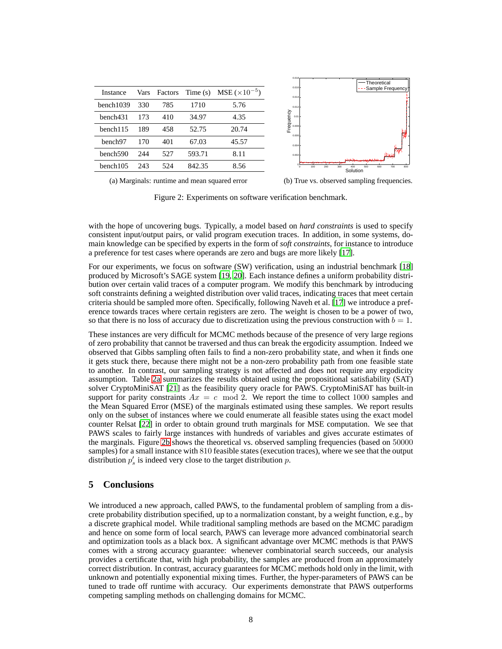|                      |      |         |            |                        | 0.018             |                                                    |
|----------------------|------|---------|------------|------------------------|-------------------|----------------------------------------------------|
|                      |      |         |            |                        | 0.016             | -Theoretical                                       |
| Instance             | Vars | Factors | Time $(s)$ | $MSE (\times 10^{-5})$ | 0.014             | Sample Frequency                                   |
| bench1039            | 330  | 785     | 1710       | 5.76                   | 0.012             |                                                    |
| bench431             | 173  | 410     | 34.97      | 4.35                   | Frequency<br>0.01 |                                                    |
| bench115             | 189  | 458     | 52.75      | 20.74                  | 0.008<br>0.006    | 欄                                                  |
| bench <sub>97</sub>  | 170  | 401     | 67.03      | 45.57                  | 0.004             |                                                    |
| bench <sub>590</sub> | 244  | 527     | 593.71     | 8.11                   | 0.002             | بليطخ<br>متحال المعاد وعمر وعبيب مستعارمهم         |
| bench105             | 243  | 524     | 842.35     | 8.56                   | œ<br>100<br>200   | 800<br>600<br>300<br>700<br>400<br>500<br>Solution |
|                      |      |         |            |                        |                   |                                                    |

(a) Marginals: runtime and mean squared error

(b) True vs. observed sampling frequencies.

Figure 2: Experiments on software verification benchmark.

with the hope of uncovering bugs. Typically, a model based on *hard constraints* is used to specify consistent input/output pairs, or valid program execution traces. In addition, in some systems, domain knowledge can be specified by experts in the form of *soft constraints*, for instance to introduce a preference for test cases where operands are zero and bugs are more likely [17].

For our experiments, we focus on software (SW) verification, using an industrial benchmark [18] produced by Microsoft's SAGE system [19, 20]. Each instance defines a uniform probability distribution over certain valid traces of a computer program. We modify this benchmark by introducing soft constraints defining a weighted distribution over valid traces, indicating traces that meet certain criteria should be sampled more often. Specifically, following Naveh et al. [17] we introduce a preference towards traces where certain registers are zero. The weight is chosen to be a power of two, so that there is no loss of accuracy due to discretization using the previous construction with  $b = 1$ .

These instances are very difficult for MCMC methods because of the presence of very large regions of zero probability that cannot be traversed and thus can break the ergodicity assumption. Indeed we observed that Gibbs sampling often fails to find a non-zero probability state, and when it finds one it gets stuck there, because there might not be a non-zero probability path from one feasible state to another. In contrast, our sampling strategy is not affected and does not require any ergodicity assumption. Table 2a summarizes the results obtained using the propositional satisfiability (SAT) solver CryptoMiniSAT [21] as the feasibility query oracle for PAWS. CryptoMiniSAT has built-in support for parity constraints  $Ax = c \mod 2$ . We report the time to collect 1000 samples and the Mean Squared Error (MSE) of the marginals estimated using these samples. We report results only on the subset of instances where we could enumerate all feasible states using the exact model counter Relsat [22] in order to obtain ground truth marginals for MSE computation. We see that PAWS scales to fairly large instances with hundreds of variables and gives accurate estimates of the marginals. Figure 2b shows the theoretical vs. observed sampling frequencies (based on 50000 samples) for a small instance with 810 feasible states (execution traces), where we see that the output distribution  $p'_s$  is indeed very close to the target distribution p.

## **5 Conclusions**

We introduced a new approach, called PAWS, to the fundamental problem of sampling from a discrete probability distribution specified, up to a normalization constant, by a weight function, e.g., by a discrete graphical model. While traditional sampling methods are based on the MCMC paradigm and hence on some form of local search, PAWS can leverage more advanced combinatorial search and optimization tools as a black box. A significant advantage over MCMC methods is that PAWS comes with a strong accuracy guarantee: whenever combinatorial search succeeds, our analysis provides a certificate that, with high probability, the samples are produced from an approximately correct distribution. In contrast, accuracy guarantees for MCMC methods hold only in the limit, with unknown and potentially exponential mixing times. Further, the hyper-parameters of PAWS can be tuned to trade off runtime with accuracy. Our experiments demonstrate that PAWS outperforms competing sampling methods on challenging domains for MCMC.